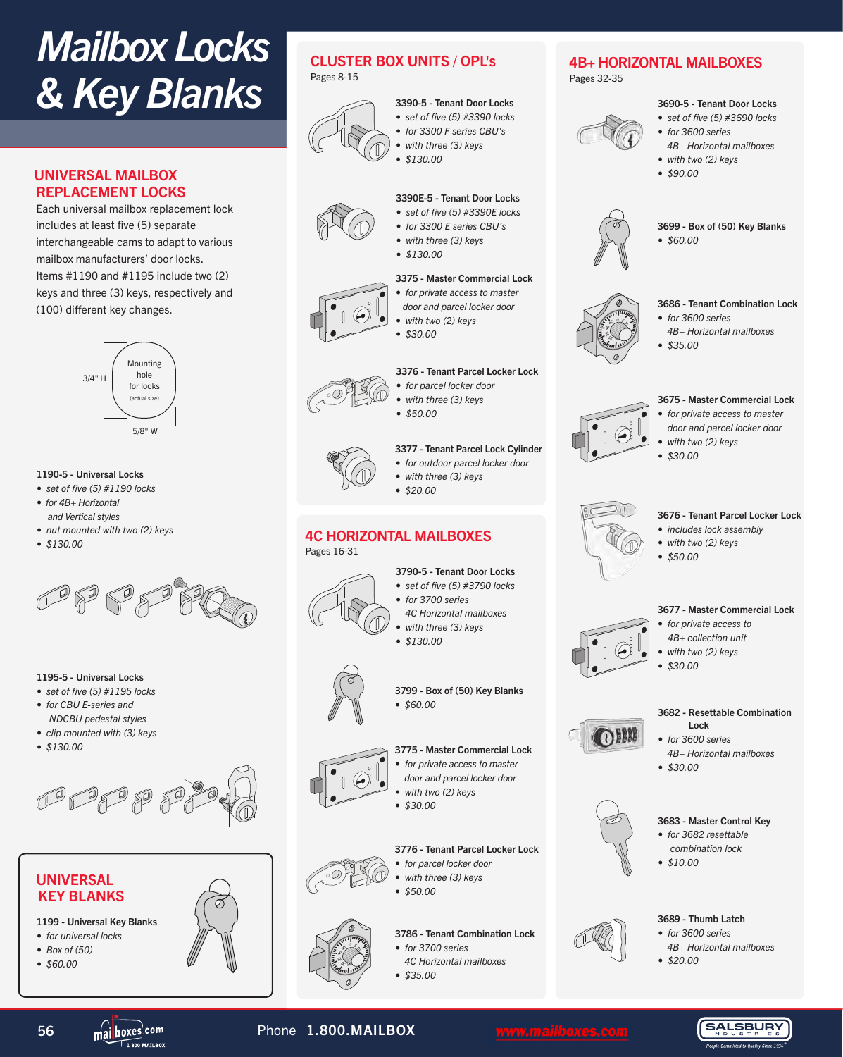Pages 32-35

4B+ HORIZONTAL MAILBOXES

# *Mailbox Locks & Key Blanks*

### UNIVERSAL MAILBOX REPLACEMENT LOCKS

Each universal mailbox replacement lock includes at least five (5) separate interchangeable cams to adapt to various mailbox manufacturers' door locks. Items #1190 and #1195 include two (2) keys and three (3) keys, respectively and (100) different key changes.



#### 1190-5 - Universal Locks

- *set of five (5) #1190 locks • for 4B+ Horizontal*
- *and Vertical styles • nut mounted with two (2) keys*
- 
- *\$130.00*



#### 1195-5 - Universal Locks

- *set of five (5) #1195 locks*
- *for CBU E-series and NDCBU pedestal styles*
- *clip mounted with (3) keys*
- *\$130.00*





- 1199 Universal Key Blanks
- *for universal locks*
- *Box of (50)*
- *\$60.00*

## CLUSTER BOX UNITS / OPL's

Pages 8-15



#### 3390-5 - Tenant Door Locks *• set of five (5) #3390 locks*

- *for 3300 F series CBU's*
- *with three (3) keys • \$130.00*
- 

#### 3390E-5 - Tenant Door Locks *• set of five (5) #3390E locks*

- *for 3300 E series CBU's*
- *with three (3) keys*
- *\$130.00*
- 

#### 3375 - Master Commercial Lock *• for private access to master*

- *door and parcel locker door*
- *with two (2) keys*
- *\$30.00*

### 3376 - Tenant Parcel Locker Lock

- *for parcel locker door • with three (3) keys*
- - *\$50.00*

### 3377 - Tenant Parcel Lock Cylinder

- *for outdoor parcel locker door • with three (3) keys*
- *\$20.00*
- 

# 4C HORIZONTAL MAILBOXES



- *set of five (5) #3790 locks*
- *for 3700 series 4C Horizontal mailboxes*
- 
- 



3799 - Box of (50) Key Blanks *• \$60.00*

#### 3775 - Master Commercial Lock

- *for private access to master*
- *door and parcel locker door*
- *with two (2) keys*
- *\$30.00*



- *for parcel locker door*
- *with three (3) keys*
- *\$50.00*

3786 - Tenant Combination Lock

- *for 3700 series*
- *4C Horizontal mailboxes*
- *\$35.00*



 $\ll$ 15  $20, 35, 65$ 

#### 3677 - Master Commercial Lock

3699 - Box of (50) Key Blanks

3686 - Tenant Combination Lock

 *4B+ Horizontal mailboxes*

3690-5 - Tenant Door Locks *• set of five (5) #3690 locks • for 3600 series* 

 *4B+ Horizontal mailboxes • with two (2) keys • \$90.00*

*• \$60.00*

*• for 3600 series* 

*• \$35.00*

- *for private access to 4B+ collection unit* 
	- *with two (2) keys*
	- *\$30.00*

#### 3682 - Resettable Combination Lock

- $\Omega$ *• for 3600 series* 
	- *4B+ Horizontal mailboxes • \$30.00*
		-



#### 3683 - Master Control Key

- *for 3682 resettable combination lock*
- *\$10.00*



- *for 3600 series*
- *4B+ Horizontal mailboxes*
- *\$20.00*



56 mai boxes com **Phone 1.800.MAILBOX** WWW.mailboxes.com

 $0$ .m

 $\ll$ 15 <sup>20</sup> <sup>30</sup> <sup>25</sup> <sup>35</sup> <sup>40</sup> <sup>45</sup>

*• with three (3) keys • \$130.00*